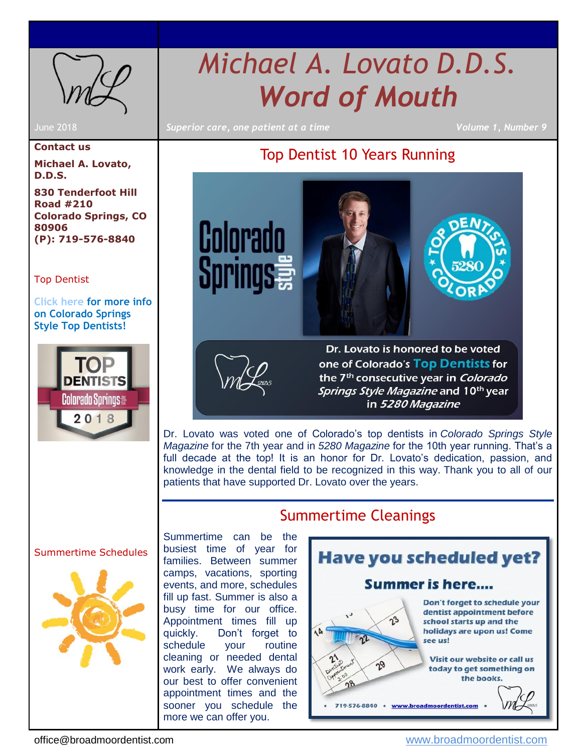<span id="page-0-1"></span>

# *Michael A. Lovato D.D.S. Word of Mouth*

June 2018 *Superior care, one patient at a time Volume 1, Number 9*

#### **Contact us**

**Michael A. Lovato, D.D.S.**

**830 Tenderfoot Hill Road #210 Colorado Springs, CO 80906 (P): 719-576-8840**

#### [Top Dentist](#page-0-0)

**[Click here](http://www.coloradospringsstyle.com/May-June-2018/Colorado-Springs-Top-Dentists/) for more info on Colorado Springs Style Top Dentists!**



### Top Dentist 10 Years Running

<span id="page-0-0"></span>



Dr. Lovato is honored to be voted one of Colorado's Top Dentists for the 7<sup>th</sup> consecutive year in *Colorado Springs Style Magazine* and 10<sup>th</sup> year in 5280 Magazine

Dr. Lovato was voted one of Colorado's top dentists in *Colorado Springs Style Magazine* for the 7th year and in *5280 Magazine* for the 10th year running. That's a full decade at the top! It is an honor for Dr. Lovato's dedication, passion, and knowledge in the dental field to be recognized in this way. Thank you to all of our patients that have supported Dr. Lovato over the years.

Summertime Cleanings

#### [Summertime Schedules](#page-0-1)



Summertime can be the busiest time of year for families. Between summer camps, vacations, sporting events, and more, schedules fill up fast. Summer is also a busy time for our office. Appointment times fill up quickly. Don't forget to schedule your routine cleaning or needed dental work early. We always do our best to offer convenient appointment times and the sooner you schedule the more we can offer you.



office@broadmoordentist.com [www.broadmoordentist.com](http://www.broadmoordentist.com/)